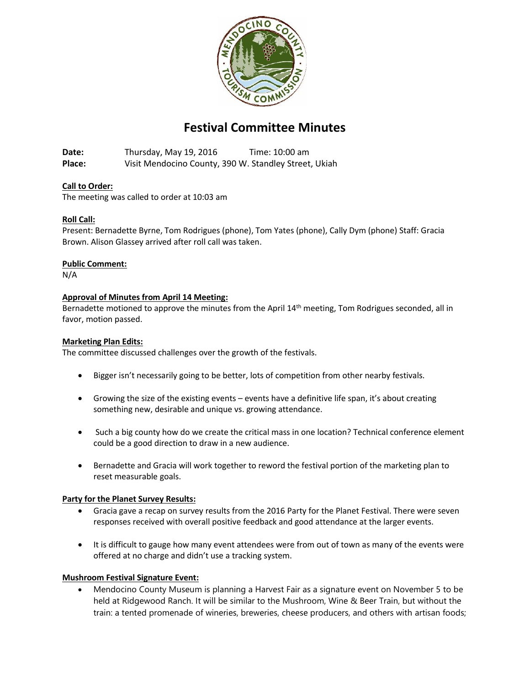

# **Festival Committee Minutes**

**Date:** Thursday, May 19, 2016 Time: 10:00 am **Place:** Visit Mendocino County, 390 W. Standley Street, Ukiah

## **Call to Order:**

The meeting was called to order at 10:03 am

## **Roll Call:**

Present: Bernadette Byrne, Tom Rodrigues (phone), Tom Yates (phone), Cally Dym (phone) Staff: Gracia Brown. Alison Glassey arrived after roll call was taken.

#### **Public Comment:**

N/A

## **Approval of Minutes from April 14 Meeting:**

Bernadette motioned to approve the minutes from the April 14<sup>th</sup> meeting, Tom Rodrigues seconded, all in favor, motion passed.

### **Marketing Plan Edits:**

The committee discussed challenges over the growth of the festivals.

- **Bigger isn't necessarily going to be better, lots of competition from other nearby festivals.**
- Growing the size of the existing events events have a definitive life span, it's about creating something new, desirable and unique vs. growing attendance.
- Such a big county how do we create the critical mass in one location? Technical conference element could be a good direction to draw in a new audience.
- Bernadette and Gracia will work together to reword the festival portion of the marketing plan to reset measurable goals.

#### **Party for the Planet Survey Results:**

- Gracia gave a recap on survey results from the 2016 Party for the Planet Festival. There were seven responses received with overall positive feedback and good attendance at the larger events.
- It is difficult to gauge how many event attendees were from out of town as many of the events were offered at no charge and didn't use a tracking system.

#### **Mushroom Festival Signature Event:**

 Mendocino County Museum is planning a Harvest Fair as a signature event on November 5 to be held at Ridgewood Ranch. It will be similar to the Mushroom, Wine & Beer Train, but without the train: a tented promenade of wineries, breweries, cheese producers, and others with artisan foods;